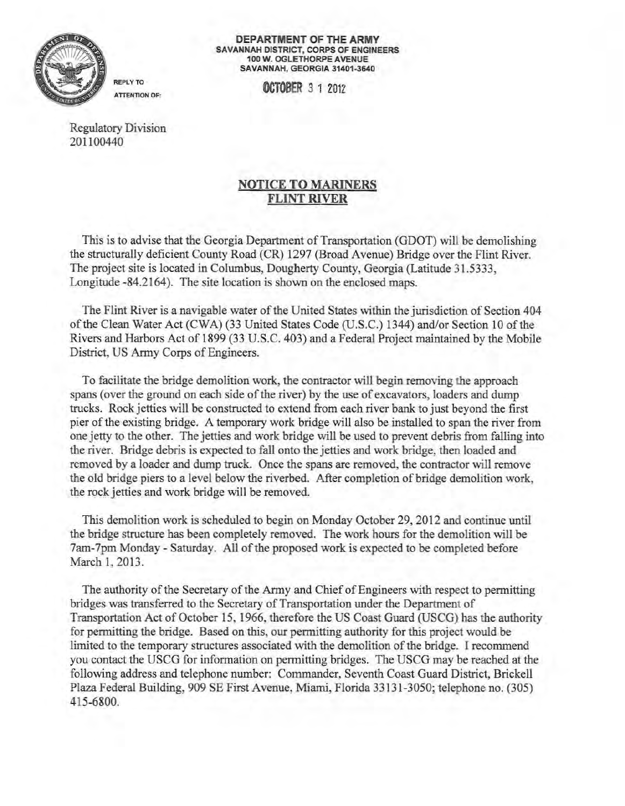

**DEPARTMENT OF THE ARMY**  SAVANNAH DISTRICT, CORPS OF ENGINEERS 100 W. OGLETHORPE AVENUE SAVANNAH, GEORGIA 31401-3640

**OCTOBER** *3* 1 2012 ATTENTION OF:

Regulatory Division 201100440

## NOTICE TO MARINERS FLINT RIVER

This is to advise that the Georgia Department of Transportation (GDOT) will be demolishing the structurally deficient County Road (CR) 1297 (Broad Avenue) Bridge over the Flint River. The project site is located in Columbus, Dougherty County, Georgia (Latitude 31.5333, Longitude -84.2164). The site location is shown on the enclosed maps.

The Flint River is a navigable water of the United States within the jurisdiction of Section 404 of the Clean Water Act (CWA) (33 United States Code (U.S.C.) 1344) and/or Section 10 of the Rivers and Harbors Act of 1899 (33 U.S.C. 403) and a Federal Project maintained by the Mobile District, US Army Corps of Engineers.

To facil itate the bridge demolition work, the contractor will begin removing the approach spans (over the ground on each side of the river) by the use of excavators, loaders and dump trucks. Rock jetties will be constructed to extend from each river bank to just beyond the first pier of the existing bridge. A temporary work bridge will also be installed to span the river from one jetty to the other. The jetties and work bridge will be used to prevent debris from falling into the river. Bridge debris is expected to fall onto the jetties and work bridge, then loaded and removed by a loader and dump truck. Once the spans are removed, the contractor will remove the old bridge piers to a level below the riverbed. After completion of bridge demolition work, the rock jetties and work bridge will be removed.

This demolition work is scheduled to begin on Monday October 29, 2012 and continue until the bridge structure has been completely removed. The work hours for the demolition will be 7am-7pm Monday - Saturday. All of the proposed work is expected to be completed before March 1, 2013.

The authority of the Secretary of the Army and Chief of Engineers with respect to permitting bridges was transferred to the Secretary of Transportation under the Department of Transportation Act of October 15, 1966, therefore the US Coast Guard (USCG) has the authority for permitting the bridge. Based on this, our permitting authority for this project would be limited to the temporary structures associated with the demolition ofthe bridge. I recommend you contact the USCG for information on permitting bridges. The USCG may be reached at the following address and telephone number: Commander, Seventh Coast Guard District, Brickell Plaza Federal Building, 909 SE First Avenue, Miami, Florida 33131 -3050; telephone no. (305) 4 15-6800.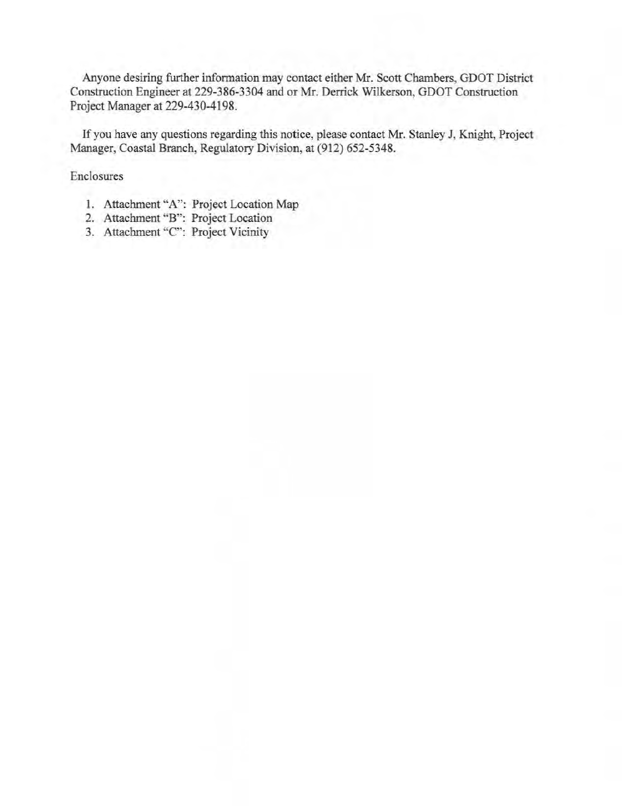Anyone desiring further information may contact either Mr. Scott Chambers, GDOT District Construction Engineer at 229-386-3304 and or Mr. Derrick Wilkerson, GDOT Construction Project Manager at 229-430-4198.

If you have any questions regarding this notice, please contact Mr. Stanley J, Knight, Project Manager, Coastal Branch, Regulatory Division, at (912) 652-5348.

Enclosures

- 1. Attachment "A": Project Location Map
- 2. Attachment "B": Project Location
- 3. Attachment "C": Project Vicinity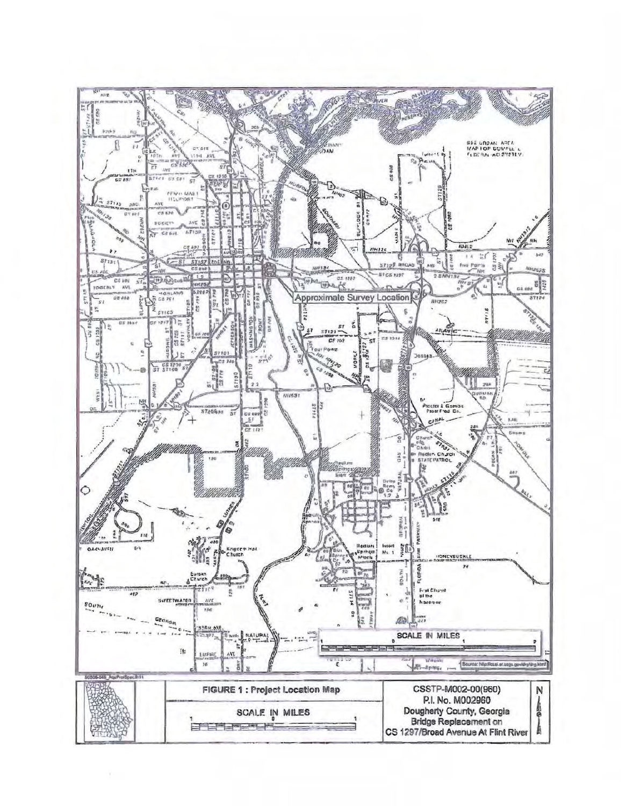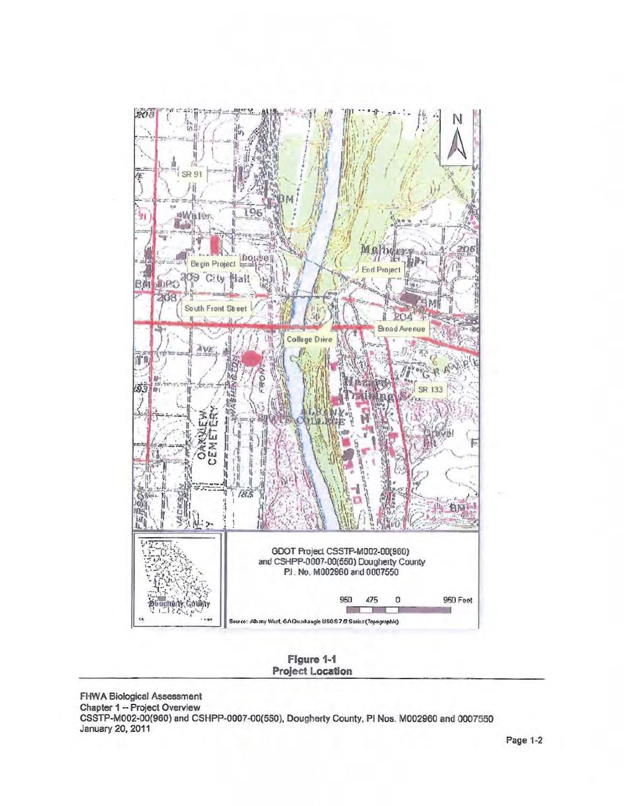

**Figure** 1·1 **Project Location** 

FHWA Biological Assessment Chapter 1 - Project Overview CSSTP-M002-00(960) and CSHPP-0007-00(550), Dougherty County, PI Nos. M002960 and 0007550 January 20, 2011